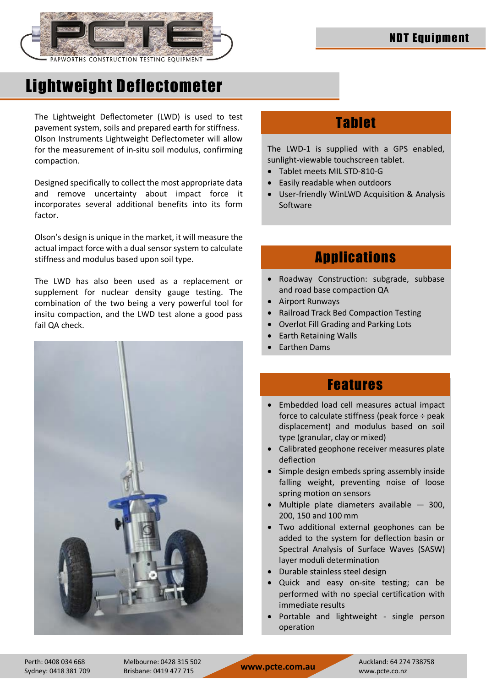

# Lightweight Deflectometer

The Lightweight Deflectometer (LWD) is used to test pavement system, soils and prepared earth for stiffness. Olson Instruments Lightweight Deflectometer will allow for the measurement of in-situ soil modulus, confirming compaction.

Designed specifically to collect the most appropriate data and remove uncertainty about impact force it incorporates several additional benefits into its form factor.

Olson's design is unique in the market, it will measure the actual impact force with a dual sensor system to calculate stiffness and modulus based upon soil type.

The LWD has also been used as a replacement or supplement for nuclear density gauge testing. The combination of the two being a very powerful tool for insitu compaction, and the LWD test alone a good pass fail QA check.



### Tablet

The LWD-1 is supplied with a GPS enabled, sunlight-viewable touchscreen tablet.

- Tablet meets MIL STD-810-G
- Easily readable when outdoors
- User-friendly WinLWD Acquisition & Analysis Software

### **Applications**

- Roadway Construction: subgrade, subbase and road base compaction QA
- Airport Runways
- Railroad Track Bed Compaction Testing
- Overlot Fill Grading and Parking Lots
- Earth Retaining Walls
- Earthen Dams

### Features

- Embedded load cell measures actual impact force to calculate stiffness (peak force ÷ peak displacement) and modulus based on soil type (granular, clay or mixed)
- Calibrated geophone receiver measures plate deflection
- Simple design embeds spring assembly inside falling weight, preventing noise of loose spring motion on sensors
- Multiple plate diameters available 300, 200, 150 and 100 mm
- Two additional external geophones can be added to the system for deflection basin or Spectral Analysis of Surface Waves (SASW) layer moduli determination
- Durable stainless steel design
- Quick and easy on-site testing; can be performed with no special certification with immediate results
- Portable and lightweight single person operation

Sydney: 0418 381 709 Brisbane: 0419 477 715 **www.pcte.com.au** www.pcte.com

Perth: 0408 034 668 Melbourne: 0428 315 502 Auckland: 64 274 738758